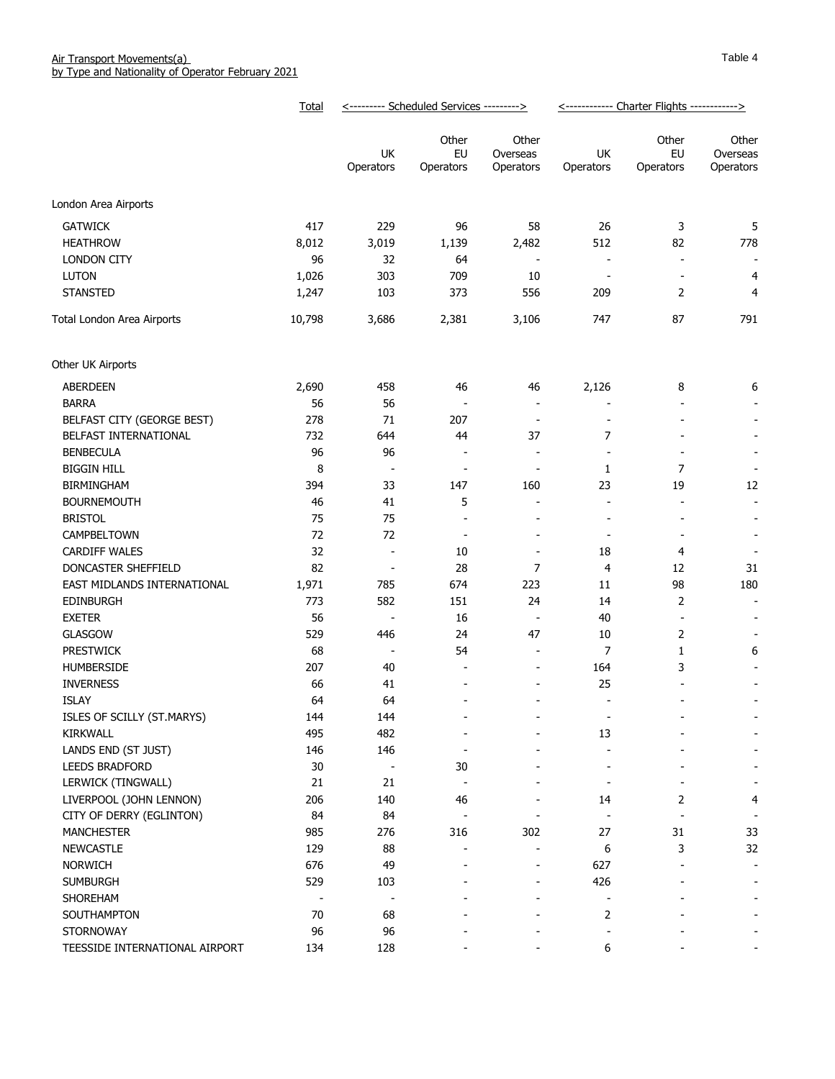|                                | Total                    |                          | <--------- Scheduled Services ---------> |                                | <------------ Charter Flights ------------> |                              |                                |
|--------------------------------|--------------------------|--------------------------|------------------------------------------|--------------------------------|---------------------------------------------|------------------------------|--------------------------------|
|                                |                          | UK<br>Operators          | Other<br>EU<br>Operators                 | Other<br>Overseas<br>Operators | UK<br>Operators                             | Other<br>EU<br>Operators     | Other<br>Overseas<br>Operators |
| London Area Airports           |                          |                          |                                          |                                |                                             |                              |                                |
| <b>GATWICK</b>                 | 417                      | 229                      | 96                                       | 58                             | 26                                          | 3                            | 5                              |
| <b>HEATHROW</b>                | 8,012                    | 3,019                    | 1,139                                    | 2,482                          | 512                                         | 82                           | 778                            |
| LONDON CITY                    | 96                       | 32                       | 64                                       | $\overline{\phantom{a}}$       | $\overline{\phantom{a}}$                    | $\overline{\phantom{a}}$     |                                |
| <b>LUTON</b>                   | 1,026                    | 303                      | 709                                      | 10                             | $\qquad \qquad \blacksquare$                | $\overline{\phantom{a}}$     | 4                              |
| <b>STANSTED</b>                | 1,247                    | 103                      | 373                                      | 556                            | 209                                         | 2                            | $\overline{4}$                 |
| Total London Area Airports     | 10,798                   | 3,686                    | 2,381                                    | 3,106                          | 747                                         | 87                           | 791                            |
| Other UK Airports              |                          |                          |                                          |                                |                                             |                              |                                |
| <b>ABERDEEN</b>                | 2,690                    | 458                      | 46                                       | 46                             | 2,126                                       | 8                            | 6                              |
| <b>BARRA</b>                   | 56                       | 56                       |                                          | $\overline{\phantom{a}}$       |                                             | $\qquad \qquad \blacksquare$ |                                |
| BELFAST CITY (GEORGE BEST)     | 278                      | 71                       | 207                                      | $\overline{\phantom{a}}$       |                                             |                              | ٠                              |
| BELFAST INTERNATIONAL          | 732                      | 644                      | 44                                       | 37                             | 7                                           | $\qquad \qquad \blacksquare$ | $\qquad \qquad \blacksquare$   |
| <b>BENBECULA</b>               | 96                       | 96                       | $\overline{\phantom{a}}$                 | ÷,                             | $\overline{a}$                              | $\blacksquare$               | $\overline{\phantom{a}}$       |
| <b>BIGGIN HILL</b>             | 8                        | $\overline{\phantom{a}}$ | $\overline{\phantom{a}}$                 | $\overline{a}$                 | 1                                           | 7                            |                                |
| <b>BIRMINGHAM</b>              | 394                      | 33                       | 147                                      | 160                            | 23                                          | 19                           | 12                             |
| <b>BOURNEMOUTH</b>             | 46                       | 41                       | 5                                        | $\overline{a}$                 | $\overline{\phantom{a}}$                    | $\qquad \qquad \blacksquare$ | -                              |
| <b>BRISTOL</b>                 | 75                       | 75                       | $\overline{a}$                           | $\blacksquare$                 | $\overline{a}$                              | $\blacksquare$               | $\overline{\phantom{a}}$       |
| CAMPBELTOWN                    | 72                       | 72                       | $\overline{\phantom{a}}$                 | $\overline{a}$                 | $\qquad \qquad \blacksquare$                | $\overline{\phantom{a}}$     | $\overline{\phantom{a}}$       |
| <b>CARDIFF WALES</b>           | 32                       | $\overline{\phantom{a}}$ | 10                                       | $\overline{\phantom{0}}$       | 18                                          | 4                            |                                |
| DONCASTER SHEFFIELD            | 82                       | $\overline{\phantom{a}}$ | 28                                       | 7                              | 4                                           | 12                           | 31                             |
| EAST MIDLANDS INTERNATIONAL    | 1,971                    | 785                      | 674                                      | 223                            | 11                                          | 98                           | 180                            |
| <b>EDINBURGH</b>               | 773                      | 582                      | 151                                      | 24                             | 14                                          | $\overline{2}$               | $\overline{\phantom{a}}$       |
| <b>EXETER</b>                  | 56                       |                          | 16                                       | $\overline{\phantom{a}}$       | 40                                          | $\overline{\phantom{a}}$     |                                |
| <b>GLASGOW</b>                 | 529                      | 446                      | 24                                       | 47                             | 10                                          | $\overline{2}$               |                                |
| <b>PRESTWICK</b>               | 68                       | $\overline{\phantom{a}}$ | 54                                       | $\overline{a}$                 | 7                                           | 1                            | 6                              |
| HUMBERSIDE                     | 207                      | 40                       | $\overline{\phantom{a}}$                 | ÷,                             | 164                                         | 3                            |                                |
| <b>INVERNESS</b>               | 66                       | 41                       |                                          |                                | 25                                          |                              |                                |
| <b>ISLAY</b>                   | 64                       | 64                       |                                          |                                | $\blacksquare$                              |                              |                                |
| ISLES OF SCILLY (ST.MARYS)     | 144                      | 144                      |                                          |                                | $\overline{\phantom{a}}$                    |                              |                                |
| KIRKWALL                       | 495                      | 482                      |                                          |                                | 13                                          |                              |                                |
| LANDS END (ST JUST)            | 146                      | 146                      | $\overline{a}$                           |                                |                                             |                              |                                |
| <b>LEEDS BRADFORD</b>          | $30\,$                   | $\overline{\phantom{a}}$ | 30                                       |                                |                                             |                              |                                |
| LERWICK (TINGWALL)             | 21                       | 21                       |                                          |                                |                                             |                              |                                |
| LIVERPOOL (JOHN LENNON)        | 206                      | 140                      | 46                                       |                                | 14                                          | 2                            | 4                              |
| CITY OF DERRY (EGLINTON)       | 84                       | 84                       |                                          |                                |                                             |                              |                                |
| <b>MANCHESTER</b>              | 985                      | 276                      | 316                                      | 302                            | 27                                          | 31                           | 33                             |
| NEWCASTLE                      | 129                      | 88                       |                                          |                                | 6                                           | 3                            | 32                             |
| <b>NORWICH</b>                 | 676                      | 49                       |                                          |                                | 627                                         |                              |                                |
| <b>SUMBURGH</b>                | 529                      | 103                      |                                          |                                | 426                                         |                              |                                |
| SHOREHAM                       | $\overline{\phantom{a}}$ | $\overline{\phantom{a}}$ |                                          |                                | $\overline{\phantom{0}}$                    |                              |                                |
| SOUTHAMPTON                    | 70                       | 68                       |                                          |                                | 2                                           |                              |                                |
| STORNOWAY                      | 96                       | 96                       |                                          |                                | $\overline{\phantom{0}}$                    |                              |                                |
| TEESSIDE INTERNATIONAL AIRPORT | 134                      | 128                      |                                          |                                | 6                                           |                              |                                |